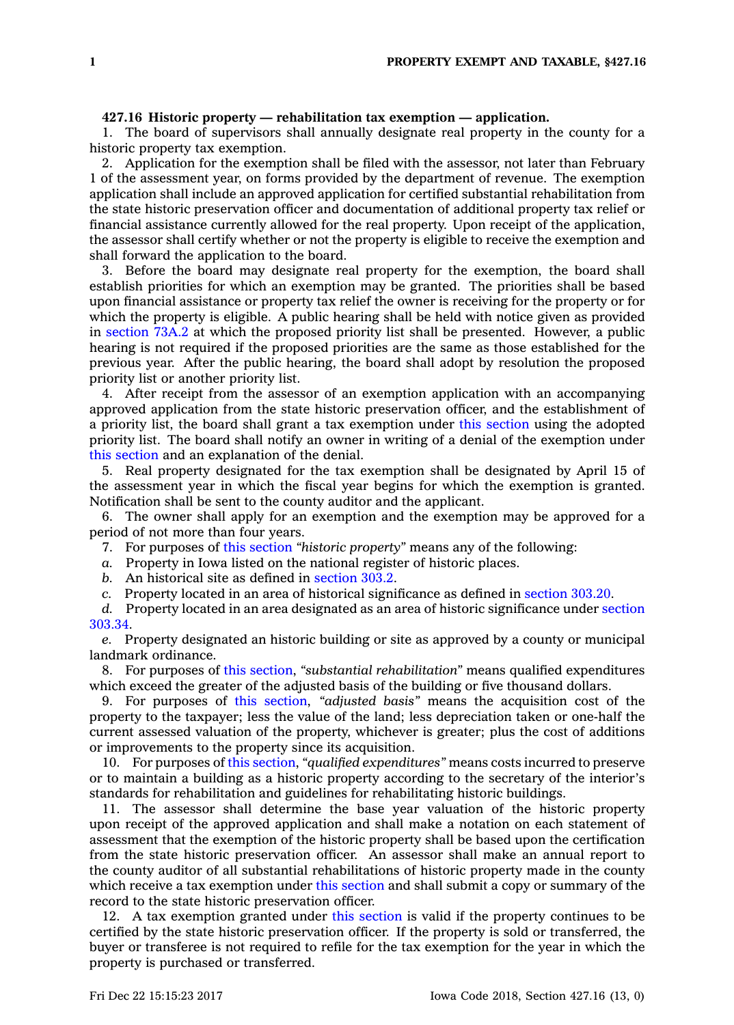## **427.16 Historic property — rehabilitation tax exemption — application.**

1. The board of supervisors shall annually designate real property in the county for <sup>a</sup> historic property tax exemption.

2. Application for the exemption shall be filed with the assessor, not later than February 1 of the assessment year, on forms provided by the department of revenue. The exemption application shall include an approved application for certified substantial rehabilitation from the state historic preservation officer and documentation of additional property tax relief or financial assistance currently allowed for the real property. Upon receipt of the application, the assessor shall certify whether or not the property is eligible to receive the exemption and shall forward the application to the board.

3. Before the board may designate real property for the exemption, the board shall establish priorities for which an exemption may be granted. The priorities shall be based upon financial assistance or property tax relief the owner is receiving for the property or for which the property is eligible. A public hearing shall be held with notice given as provided in [section](https://www.legis.iowa.gov/docs/code/73A.2.pdf) 73A.2 at which the proposed priority list shall be presented. However, <sup>a</sup> public hearing is not required if the proposed priorities are the same as those established for the previous year. After the public hearing, the board shall adopt by resolution the proposed priority list or another priority list.

4. After receipt from the assessor of an exemption application with an accompanying approved application from the state historic preservation officer, and the establishment of <sup>a</sup> priority list, the board shall grant <sup>a</sup> tax exemption under this [section](https://www.legis.iowa.gov/docs/code/427.16.pdf) using the adopted priority list. The board shall notify an owner in writing of <sup>a</sup> denial of the exemption under this [section](https://www.legis.iowa.gov/docs/code/427.16.pdf) and an explanation of the denial.

5. Real property designated for the tax exemption shall be designated by April 15 of the assessment year in which the fiscal year begins for which the exemption is granted. Notification shall be sent to the county auditor and the applicant.

6. The owner shall apply for an exemption and the exemption may be approved for <sup>a</sup> period of not more than four years.

7. For purposes of this [section](https://www.legis.iowa.gov/docs/code/427.16.pdf) *"historic property"* means any of the following:

*a.* Property in Iowa listed on the national register of historic places.

*b.* An historical site as defined in [section](https://www.legis.iowa.gov/docs/code/303.2.pdf) 303.2.

*c.* Property located in an area of historical significance as defined in [section](https://www.legis.iowa.gov/docs/code/303.20.pdf) 303.20.

*d.* Property located in an area designated as an area of historic significance under [section](https://www.legis.iowa.gov/docs/code/303.34.pdf) [303.34](https://www.legis.iowa.gov/docs/code/303.34.pdf).

*e.* Property designated an historic building or site as approved by <sup>a</sup> county or municipal landmark ordinance.

8. For purposes of this [section](https://www.legis.iowa.gov/docs/code/427.16.pdf), *"substantial rehabilitation"* means qualified expenditures which exceed the greater of the adjusted basis of the building or five thousand dollars.

9. For purposes of this [section](https://www.legis.iowa.gov/docs/code/427.16.pdf), *"adjusted basis"* means the acquisition cost of the property to the taxpayer; less the value of the land; less depreciation taken or one-half the current assessed valuation of the property, whichever is greater; plus the cost of additions or improvements to the property since its acquisition.

10. For purposes of this [section](https://www.legis.iowa.gov/docs/code/427.16.pdf), *"qualified expenditures"* means costs incurred to preserve or to maintain <sup>a</sup> building as <sup>a</sup> historic property according to the secretary of the interior's standards for rehabilitation and guidelines for rehabilitating historic buildings.

11. The assessor shall determine the base year valuation of the historic property upon receipt of the approved application and shall make <sup>a</sup> notation on each statement of assessment that the exemption of the historic property shall be based upon the certification from the state historic preservation officer. An assessor shall make an annual report to the county auditor of all substantial rehabilitations of historic property made in the county which receive <sup>a</sup> tax exemption under this [section](https://www.legis.iowa.gov/docs/code/427.16.pdf) and shall submit <sup>a</sup> copy or summary of the record to the state historic preservation officer.

12. A tax exemption granted under this [section](https://www.legis.iowa.gov/docs/code/427.16.pdf) is valid if the property continues to be certified by the state historic preservation officer. If the property is sold or transferred, the buyer or transferee is not required to refile for the tax exemption for the year in which the property is purchased or transferred.